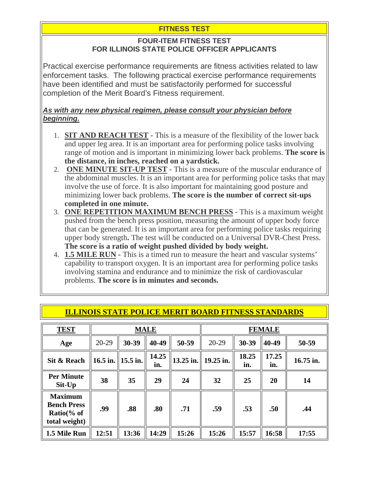# **FITNESS TEST**

### **FOUR-ITEM FITNESS TEST FOR ILLINOIS STATE POLICE OFFICER APPLICANTS**

Practical exercise performance requirements are fitness activities related to law enforcement tasks. The following practical exercise performance requirements have been identified and must be satisfactorily performed for successful completion of the Merit Board's Fitness requirement.

#### *As with any new physical regimen, please consult your physician before beginning.*

- 1. **SIT AND REACH TEST** This is a measure of the flexibility of the lower back and upper leg area. It is an important area for performing police tasks involving range of motion and is important in minimizing lower back problems. **The score is the distance, in inches, reached on a yardstick.**
- 2. **ONE MINUTE SIT-UP TEST** This is a measure of the muscular endurance of the abdominal muscles. It is an important area for performing police tasks that may involve the use of force. It is also important for maintaining good posture and minimizing lower back problems. **The score is the number of correct sit-ups completed in one minute.**
- 3. **ONE REPETITION MAXIMUM BENCH PRESS** This is a maximum weight pushed from the bench press position, measuring the amount of upper body force that can be generated. It is an important area for performing police tasks requiring upper body strength**.** The test will be conducted on a Universal DVR-Chest Press. **The score is a ratio of weight pushed divided by body weight.**
- 4. **1.5 MILE RUN** This is a timed run to measure the heart and vascular systems' capability to transport oxygen. It is an important area for performing police tasks involving stamina and endurance and to minimize the risk of cardiovascular problems. **The score is in minutes and seconds.**

| <b>TEST</b>                                                                     | <b>MALE</b> |            |              |           | <b>FEMALE</b> |              |              |           |
|---------------------------------------------------------------------------------|-------------|------------|--------------|-----------|---------------|--------------|--------------|-----------|
| Age                                                                             | $20 - 29$   | 30-39      | 40-49        | 50-59     | $20-29$       | 30-39        | 40-49        | 50-59     |
| Sit & Reach                                                                     | 16.5 in.    | $15.5$ in. | 14.25<br>in. | 13.25 in. | 19.25 in.     | 18.25<br>in. | 17.25<br>in. | 16.75 in. |
| <b>Per Minute</b><br>Sit-Up                                                     | 38          | 35         | 29           | 24        | 32            | 25           | 20           | 14        |
| <b>Maximum</b><br><b>Bench Press</b><br>Ratio $\frac{6}{6}$ of<br>total weight) | .99         | .88        | .80          | .71       | .59           | .53          | .50          | .44       |
| 1.5 Mile Run                                                                    | 12:51       | 13:36      | 14:29        | 15:26     | 15:26         | 15:57        | 16:58        | 17:55     |

## **ILLINOIS STATE POLICE MERIT BOARD FITNESS STANDARDS**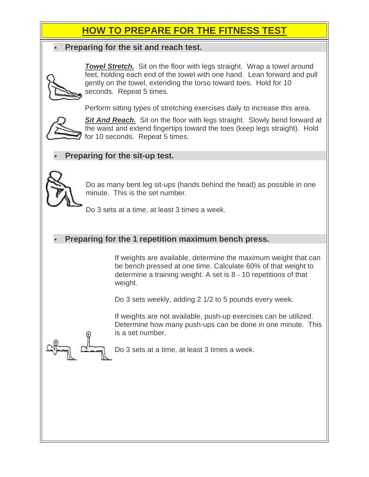# **HOW TO PREPARE FOR THE FITNESS TEST**

### **Preparing for the sit and reach test.**



**Towel Stretch.** Sit on the floor with legs straight. Wrap a towel around feet, holding each end of the towel with one hand. Lean forward and pull gently on the towel, extending the torso toward toes. Hold for 10 seconds. Repeat 5 times.

Perform sitting types of stretching exercises daily to increase this area.



**Sit And Reach.** Sit on the floor with legs straight. Slowly bend forward at the waist and extend fingertips toward the toes (keep legs straight). Hold for 10 seconds. Repeat 5 times.

# **Preparing for the sit-up test.**



Do as many bent leg sit-ups (hands behind the head) as possible in one minute. This is the set number.

Do 3 sets at a time, at least 3 times a week.

## **Preparing for the 1 repetition maximum bench press.**

If weights are available, determine the maximum weight that can be bench pressed at one time. Calculate 60% of that weight to determine a training weight. A set is 8 - 10 repetitions of that weight.

Do 3 sets weekly, adding 2 1/2 to 5 pounds every week.

If weights are not available, push-up exercises can be utilized. Determine how many push-ups can be done in one minute. This is a set number.

Do 3 sets at a time, at least 3 times a week.